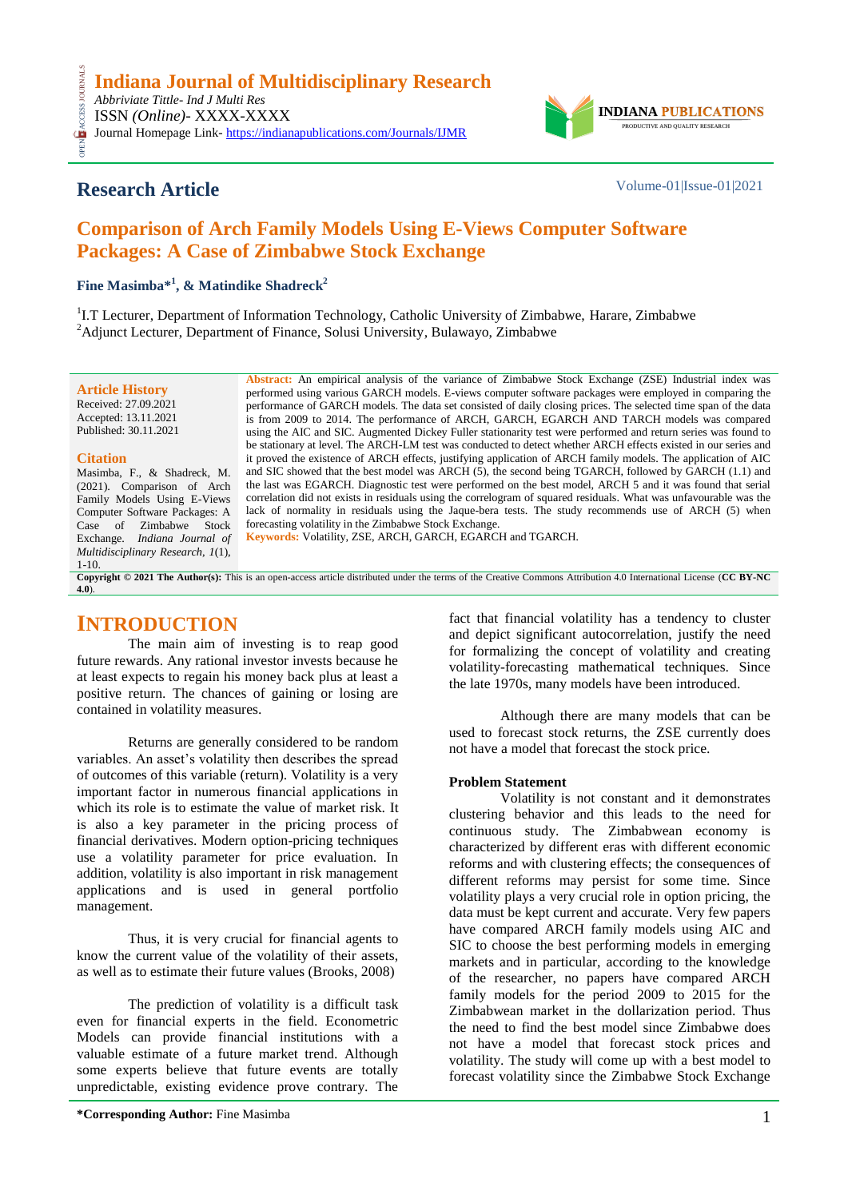

# **Research Article** Volume-01|Issue-01|2021

CESS

# **Comparison of Arch Family Models Using E-Views Computer Software Packages: A Case of Zimbabwe Stock Exchange**

**Fine Masimba\* 1 , & Matindike Shadreck<sup>2</sup>**

<sup>1</sup>I.T Lecturer, Department of Information Technology, Catholic University of Zimbabwe, Harare, Zimbabwe <sup>2</sup>Adjunct Lecturer, Department of Finance, Solusi University, Bulawayo, Zimbabwe

**Article History** Received: 27.09.2021 Accepted: 13.11.2021 Published: 30.11.2021

## **Citation**

Masimba, F., & Shadreck, M. (2021). Comparison of Arch Family Models Using E-Views Computer Software Packages: A Case of Zimbabwe Stock Exchange. *Indiana Journal of Multidisciplinary Research, 1*(1), 1-10.

**Abstract:** An empirical analysis of the variance of Zimbabwe Stock Exchange (ZSE) Industrial index was performed using various GARCH models. E-views computer software packages were employed in comparing the performance of GARCH models. The data set consisted of daily closing prices. The selected time span of the data is from 2009 to 2014. The performance of ARCH, GARCH, EGARCH AND TARCH models was compared using the AIC and SIC. Augmented Dickey Fuller stationarity test were performed and return series was found to be stationary at level. The ARCH-LM test was conducted to detect whether ARCH effects existed in our series and it proved the existence of ARCH effects, justifying application of ARCH family models. The application of AIC and SIC showed that the best model was ARCH (5), the second being TGARCH, followed by GARCH (1.1) and the last was EGARCH. Diagnostic test were performed on the best model, ARCH 5 and it was found that serial correlation did not exists in residuals using the correlogram of squared residuals. What was unfavourable was the lack of normality in residuals using the Jaque-bera tests. The study recommends use of ARCH (5) when forecasting volatility in the Zimbabwe Stock Exchange*.* **Keywords:** Volatility, ZSE, ARCH, GARCH, EGARCH and TGARCH*.*

**Copyright © 2021 The Author(s):** This is an open-access article distributed under the terms of the Creative Commons Attribution 4.0 International License (**[CC BY-NC](https://creativecommons.org/licenses/by-nc/4.0/)  [4.0](https://creativecommons.org/licenses/by-nc/4.0/)**).

# **INTRODUCTION**

The main aim of investing is to reap good future rewards. Any rational investor invests because he at least expects to regain his money back plus at least a positive return. The chances of gaining or losing are contained in volatility measures.

Returns are generally considered to be random variables. An asset's volatility then describes the spread of outcomes of this variable (return). Volatility is a very important factor in numerous financial applications in which its role is to estimate the value of market risk. It is also a key parameter in the pricing process of financial derivatives. Modern option-pricing techniques use a volatility parameter for price evaluation. In addition, volatility is also important in risk management applications and is used in general portfolio management.

Thus, it is very crucial for financial agents to know the current value of the volatility of their assets, as well as to estimate their future values (Brooks, 2008)

The prediction of volatility is a difficult task even for financial experts in the field. Econometric Models can provide financial institutions with a valuable estimate of a future market trend. Although some experts believe that future events are totally unpredictable, existing evidence prove contrary. The

**\*Corresponding Author:** Fine Masimba 1

fact that financial volatility has a tendency to cluster and depict significant autocorrelation, justify the need for formalizing the concept of volatility and creating volatility-forecasting mathematical techniques. Since the late 1970s, many models have been introduced.

Although there are many models that can be used to forecast stock returns, the ZSE currently does not have a model that forecast the stock price.

## **Problem Statement**

Volatility is not constant and it demonstrates clustering behavior and this leads to the need for continuous study. The Zimbabwean economy is characterized by different eras with different economic reforms and with clustering effects; the consequences of different reforms may persist for some time. Since volatility plays a very crucial role in option pricing, the data must be kept current and accurate. Very few papers have compared ARCH family models using AIC and SIC to choose the best performing models in emerging markets and in particular, according to the knowledge of the researcher, no papers have compared ARCH family models for the period 2009 to 2015 for the Zimbabwean market in the dollarization period. Thus the need to find the best model since Zimbabwe does not have a model that forecast stock prices and volatility. The study will come up with a best model to forecast volatility since the Zimbabwe Stock Exchange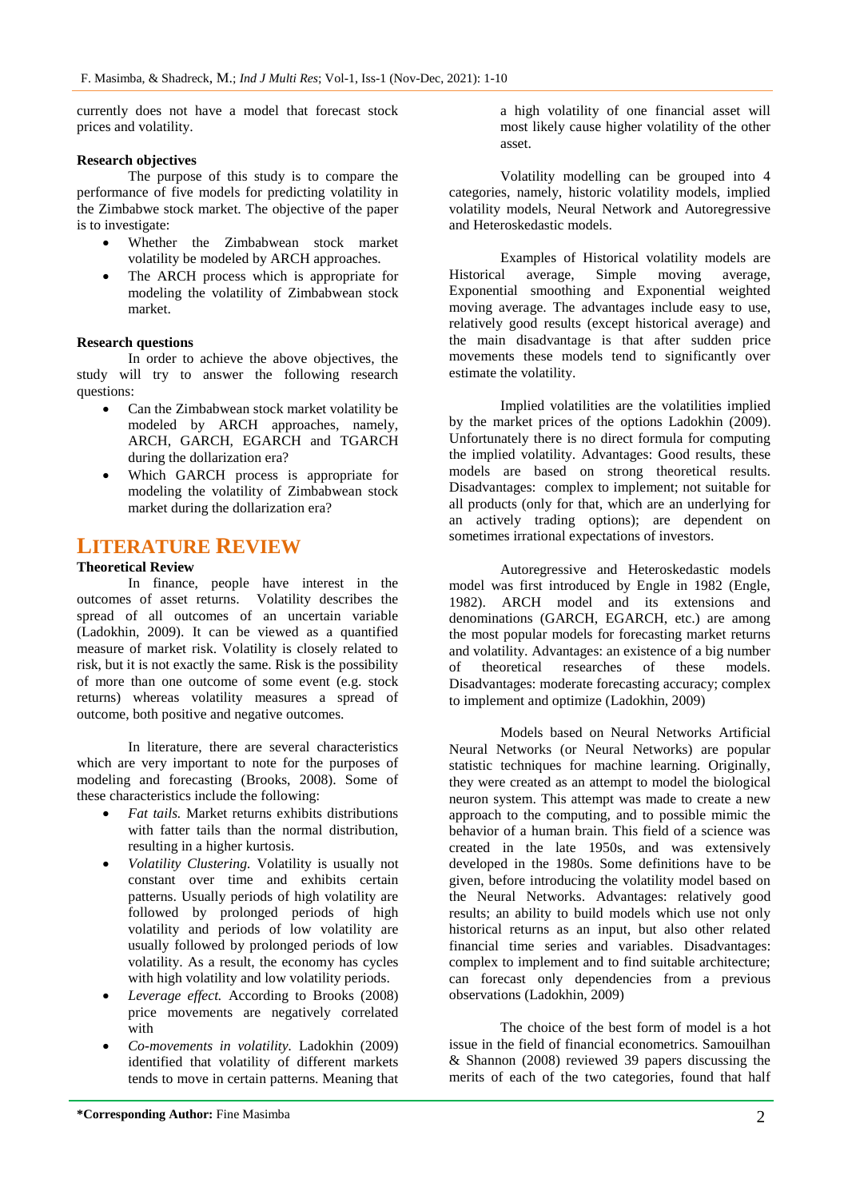currently does not have a model that forecast stock prices and volatility.

## **Research objectives**

The purpose of this study is to compare the performance of five models for predicting volatility in the Zimbabwe stock market. The objective of the paper is to investigate:

- Whether the Zimbabwean stock market volatility be modeled by ARCH approaches.
- The ARCH process which is appropriate for modeling the volatility of Zimbabwean stock market.

## **Research questions**

In order to achieve the above objectives, the study will try to answer the following research questions:

- Can the Zimbabwean stock market volatility be modeled by ARCH approaches, namely, ARCH, GARCH, EGARCH and TGARCH during the dollarization era?
- Which GARCH process is appropriate for modeling the volatility of Zimbabwean stock market during the dollarization era?

## **LITERATURE REVIEW**

## **Theoretical Review**

In finance, people have interest in the outcomes of asset returns. Volatility describes the spread of all outcomes of an uncertain variable (Ladokhin, 2009). It can be viewed as a quantified measure of market risk. Volatility is closely related to risk, but it is not exactly the same. Risk is the possibility of more than one outcome of some event (e.g. stock returns) whereas volatility measures a spread of outcome, both positive and negative outcomes.

In literature, there are several characteristics which are very important to note for the purposes of modeling and forecasting (Brooks, 2008). Some of these characteristics include the following:

- *Fat tails.* Market returns exhibits distributions with fatter tails than the normal distribution, resulting in a higher kurtosis.
- *Volatility Clustering.* Volatility is usually not constant over time and exhibits certain patterns. Usually periods of high volatility are followed by prolonged periods of high volatility and periods of low volatility are usually followed by prolonged periods of low volatility. As a result, the economy has cycles with high volatility and low volatility periods.
- *Leverage effect.* According to Brooks (2008) price movements are negatively correlated with
- *Co-movements in volatility.* Ladokhin (2009) identified that volatility of different markets tends to move in certain patterns. Meaning that

a high volatility of one financial asset will most likely cause higher volatility of the other asset.

Volatility modelling can be grouped into 4 categories, namely, historic volatility models, implied volatility models, Neural Network and Autoregressive and Heteroskedastic models.

Examples of Historical volatility models are Historical average, Simple moving average, Exponential smoothing and Exponential weighted moving average. The advantages include easy to use, relatively good results (except historical average) and the main disadvantage is that after sudden price movements these models tend to significantly over estimate the volatility.

Implied volatilities are the volatilities implied by the market prices of the options Ladokhin (2009). Unfortunately there is no direct formula for computing the implied volatility. Advantages: Good results, these models are based on strong theoretical results. Disadvantages: complex to implement; not suitable for all products (only for that, which are an underlying for an actively trading options); are dependent on sometimes irrational expectations of investors.

Autoregressive and Heteroskedastic models model was first introduced by Engle in 1982 (Engle, 1982). ARCH model and its extensions and denominations (GARCH, EGARCH, etc.) are among the most popular models for forecasting market returns and volatility. Advantages: an existence of a big number of theoretical researches of these models. Disadvantages: moderate forecasting accuracy; complex to implement and optimize (Ladokhin, 2009)

Models based on Neural Networks Artificial Neural Networks (or Neural Networks) are popular statistic techniques for machine learning. Originally, they were created as an attempt to model the biological neuron system. This attempt was made to create a new approach to the computing, and to possible mimic the behavior of a human brain. This field of a science was created in the late 1950s, and was extensively developed in the 1980s. Some definitions have to be given, before introducing the volatility model based on the Neural Networks. Advantages: relatively good results; an ability to build models which use not only historical returns as an input, but also other related financial time series and variables. Disadvantages: complex to implement and to find suitable architecture; can forecast only dependencies from a previous observations (Ladokhin, 2009)

The choice of the best form of model is a hot issue in the field of financial econometrics. Samouilhan & Shannon (2008) reviewed 39 papers discussing the merits of each of the two categories, found that half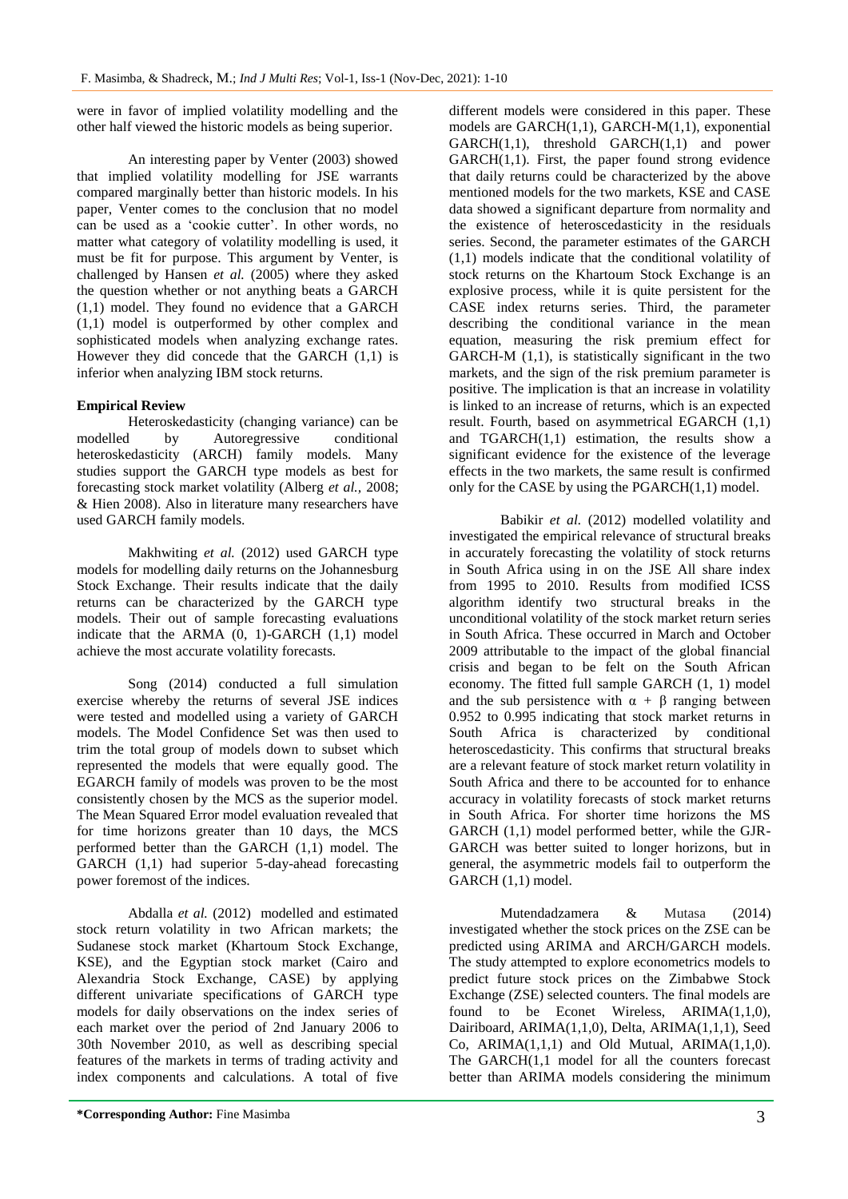were in favor of implied volatility modelling and the other half viewed the historic models as being superior.

An interesting paper by Venter (2003) showed that implied volatility modelling for JSE warrants compared marginally better than historic models. In his paper, Venter comes to the conclusion that no model can be used as a "cookie cutter". In other words, no matter what category of volatility modelling is used, it must be fit for purpose. This argument by Venter, is challenged by Hansen *et al.* (2005) where they asked the question whether or not anything beats a GARCH (1,1) model. They found no evidence that a GARCH (1,1) model is outperformed by other complex and sophisticated models when analyzing exchange rates. However they did concede that the GARCH (1,1) is inferior when analyzing IBM stock returns.

## **Empirical Review**

Heteroskedasticity (changing variance) can be modelled by Autoregressive conditional heteroskedasticity (ARCH) family models. Many studies support the GARCH type models as best for forecasting stock market volatility (Alberg *et al.,* 2008; & Hien 2008). Also in literature many researchers have used GARCH family models.

Makhwiting *et al.* (2012) used GARCH type models for modelling daily returns on the Johannesburg Stock Exchange. Their results indicate that the daily returns can be characterized by the GARCH type models. Their out of sample forecasting evaluations indicate that the ARMA (0, 1)-GARCH (1,1) model achieve the most accurate volatility forecasts.

Song (2014) conducted a full simulation exercise whereby the returns of several JSE indices were tested and modelled using a variety of GARCH models. The Model Confidence Set was then used to trim the total group of models down to subset which represented the models that were equally good. The EGARCH family of models was proven to be the most consistently chosen by the MCS as the superior model. The Mean Squared Error model evaluation revealed that for time horizons greater than 10 days, the MCS performed better than the GARCH (1,1) model. The GARCH (1,1) had superior 5-day-ahead forecasting power foremost of the indices.

Abdalla *et al.* (2012) modelled and estimated stock return volatility in two African markets; the Sudanese stock market (Khartoum Stock Exchange, KSE), and the Egyptian stock market (Cairo and Alexandria Stock Exchange, CASE) by applying different univariate specifications of GARCH type models for daily observations on the index series of each market over the period of 2nd January 2006 to 30th November 2010, as well as describing special features of the markets in terms of trading activity and index components and calculations. A total of five

different models were considered in this paper. These models are GARCH(1,1), GARCH-M(1,1), exponential  $GARCH(1,1)$ , threshold  $GARCH(1,1)$  and power  $GARCH(1,1)$ . First, the paper found strong evidence that daily returns could be characterized by the above mentioned models for the two markets, KSE and CASE data showed a significant departure from normality and the existence of heteroscedasticity in the residuals series. Second, the parameter estimates of the GARCH (1,1) models indicate that the conditional volatility of stock returns on the Khartoum Stock Exchange is an explosive process, while it is quite persistent for the CASE index returns series. Third, the parameter describing the conditional variance in the mean equation, measuring the risk premium effect for GARCH-M (1,1), is statistically significant in the two markets, and the sign of the risk premium parameter is positive. The implication is that an increase in volatility is linked to an increase of returns, which is an expected result. Fourth, based on asymmetrical EGARCH (1,1) and  $TGARCH(1,1)$  estimation, the results show a significant evidence for the existence of the leverage effects in the two markets, the same result is confirmed only for the CASE by using the PGARCH(1,1) model.

Babikir *et al.* (2012) modelled volatility and investigated the empirical relevance of structural breaks in accurately forecasting the volatility of stock returns in South Africa using in on the JSE All share index from 1995 to 2010. Results from modified ICSS algorithm identify two structural breaks in the unconditional volatility of the stock market return series in South Africa. These occurred in March and October 2009 attributable to the impact of the global financial crisis and began to be felt on the South African economy. The fitted full sample GARCH (1, 1) model and the sub persistence with  $\alpha + \beta$  ranging between 0.952 to 0.995 indicating that stock market returns in South Africa is characterized by conditional heteroscedasticity. This confirms that structural breaks are a relevant feature of stock market return volatility in South Africa and there to be accounted for to enhance accuracy in volatility forecasts of stock market returns in South Africa. For shorter time horizons the MS GARCH (1,1) model performed better, while the GJR-GARCH was better suited to longer horizons, but in general, the asymmetric models fail to outperform the GARCH (1,1) model.

Mutendadzamera & Mutasa (2014) investigated whether the stock prices on the ZSE can be predicted using ARIMA and ARCH/GARCH models. The study attempted to explore econometrics models to predict future stock prices on the Zimbabwe Stock Exchange (ZSE) selected counters. The final models are found to be Econet Wireless, ARIMA(1,1,0), Dairiboard, ARIMA(1,1,0), Delta, ARIMA(1,1,1), Seed Co,  $ARIMA(1,1,1)$  and Old Mutual,  $ARIMA(1,1,0)$ . The GARCH(1,1 model for all the counters forecast better than ARIMA models considering the minimum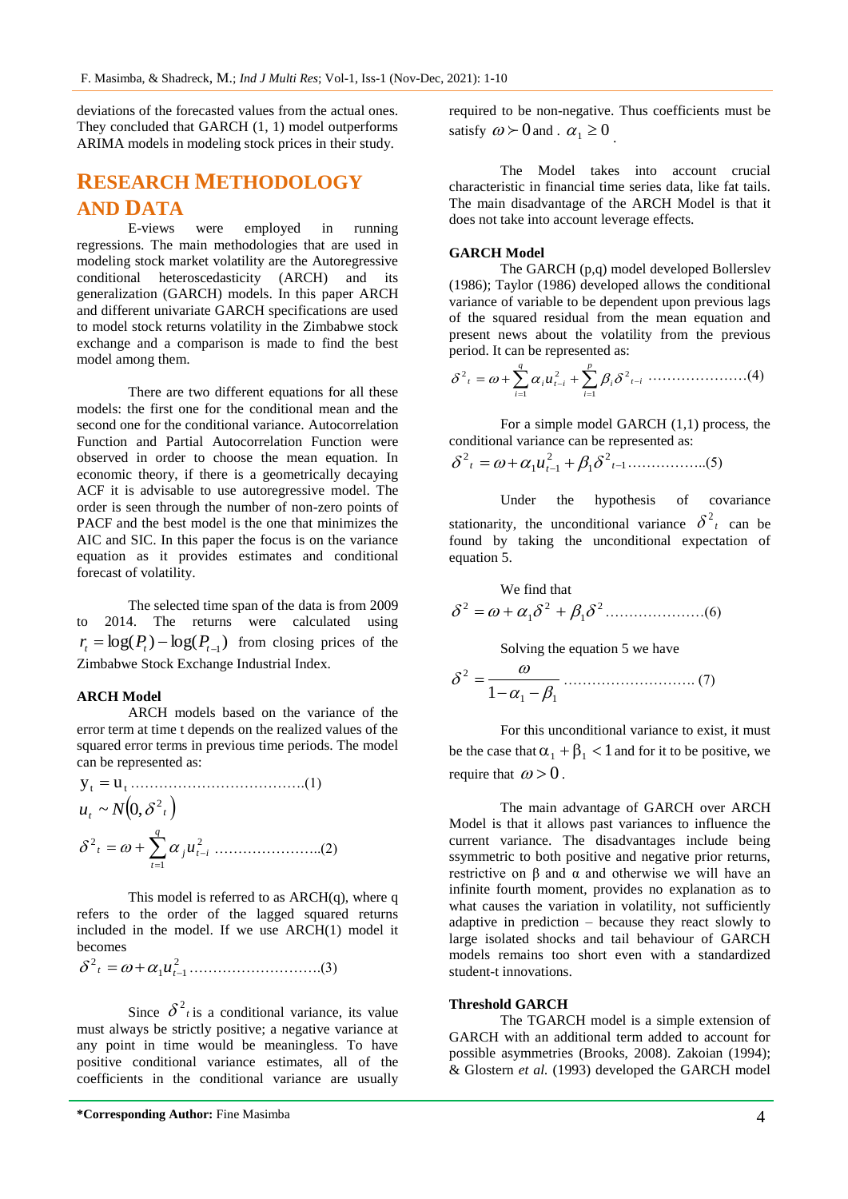deviations of the forecasted values from the actual ones. They concluded that GARCH (1, 1) model outperforms ARIMA models in modeling stock prices in their study.

## **RESEARCH METHODOLOGY AND DATA**

E-views were employed in running regressions. The main methodologies that are used in modeling stock market volatility are the Autoregressive conditional heteroscedasticity (ARCH) and its generalization (GARCH) models. In this paper ARCH and different univariate GARCH specifications are used to model stock returns volatility in the Zimbabwe stock exchange and a comparison is made to find the best model among them.

There are two different equations for all these models: the first one for the conditional mean and the second one for the conditional variance. Autocorrelation Function and Partial Autocorrelation Function were observed in order to choose the mean equation. In economic theory, if there is a geometrically decaying ACF it is advisable to use autoregressive model. The order is seen through the number of non-zero points of PACF and the best model is the one that minimizes the AIC and SIC. In this paper the focus is on the variance equation as it provides estimates and conditional forecast of volatility.

The selected time span of the data is from 2009 to 2014. The returns were calculated using  $r_t = \log(P_t) - \log(P_{t-1})$  from closing prices of the Zimbabwe Stock Exchange Industrial Index.

## **ARCH Model**

ARCH models based on the variance of the error term at time t depends on the realized values of the squared error terms in previous time periods. The model can be represented as:

$$
y_{t} = u_{t} \dots (1)
$$
  
\n
$$
u_{t} \sim N(0, \delta^{2} t)
$$
  
\n
$$
\delta^{2} t = \omega + \sum_{t=1}^{q} \alpha_{j} u_{t-i}^{2} \dots (2)
$$

This model is referred to as  $ARCH(q)$ , where q refers to the order of the lagged squared returns included in the model. If we use ARCH(1) model it becomes

2 1 1 2 *<sup>t</sup> <sup>t</sup> u* ……………………….(3)

Since  $\delta^2$  is a conditional variance, its value must always be strictly positive; a negative variance at any point in time would be meaningless. To have positive conditional variance estimates, all of the coefficients in the conditional variance are usually

**\*Corresponding Author:** Fine Masimba 4

required to be non-negative. Thus coefficients must be satisfy  $\omega \succ 0$  and .  $\alpha_1 \ge 0$ .

The Model takes into account crucial characteristic in financial time series data, like fat tails. The main disadvantage of the ARCH Model is that it does not take into account leverage effects.

#### **GARCH Model**

The GARCH (p,q) model developed Bollerslev (1986); Taylor (1986) developed allows the conditional variance of variable to be dependent upon previous lags of the squared residual from the mean equation and present news about the volatility from the previous period. It can be represented as:

$$
\delta^2_{t} = \omega + \sum_{i=1}^{q} \alpha_i u_{t-i}^2 + \sum_{i=1}^{p} \beta_i \delta^2_{t-i} \dots \dots \dots \dots \dots \dots (4)
$$

For a simple model GARCH (1,1) process, the conditional variance can be represented as:

1 2 1 2 1 1 2 *<sup>t</sup> <sup>t</sup> <sup>t</sup> u* ……………..(5)

Under the hypothesis of covariance stationarity, the unconditional variance  $\delta^2_t$  can be found by taking the unconditional expectation of equation 5.

We find that 2 1 2 1 2 …………………(6)

Solving the equation 5 we have

1 1 2 1 ………………………. (7)

For this unconditional variance to exist, it must be the case that  $\alpha_1 + \beta_1 < 1$  and for it to be positive, we require that  $\omega > 0$ .

The main advantage of GARCH over ARCH Model is that it allows past variances to influence the current variance. The disadvantages include being ssymmetric to both positive and negative prior returns, restrictive on β and  $\alpha$  and otherwise we will have an infinite fourth moment, provides no explanation as to what causes the variation in volatility, not sufficiently adaptive in prediction – because they react slowly to large isolated shocks and tail behaviour of GARCH models remains too short even with a standardized student-t innovations.

### **Threshold GARCH**

The TGARCH model is a simple extension of GARCH with an additional term added to account for possible asymmetries (Brooks, 2008). Zakoian (1994); & Glostern *et al.* (1993) developed the GARCH model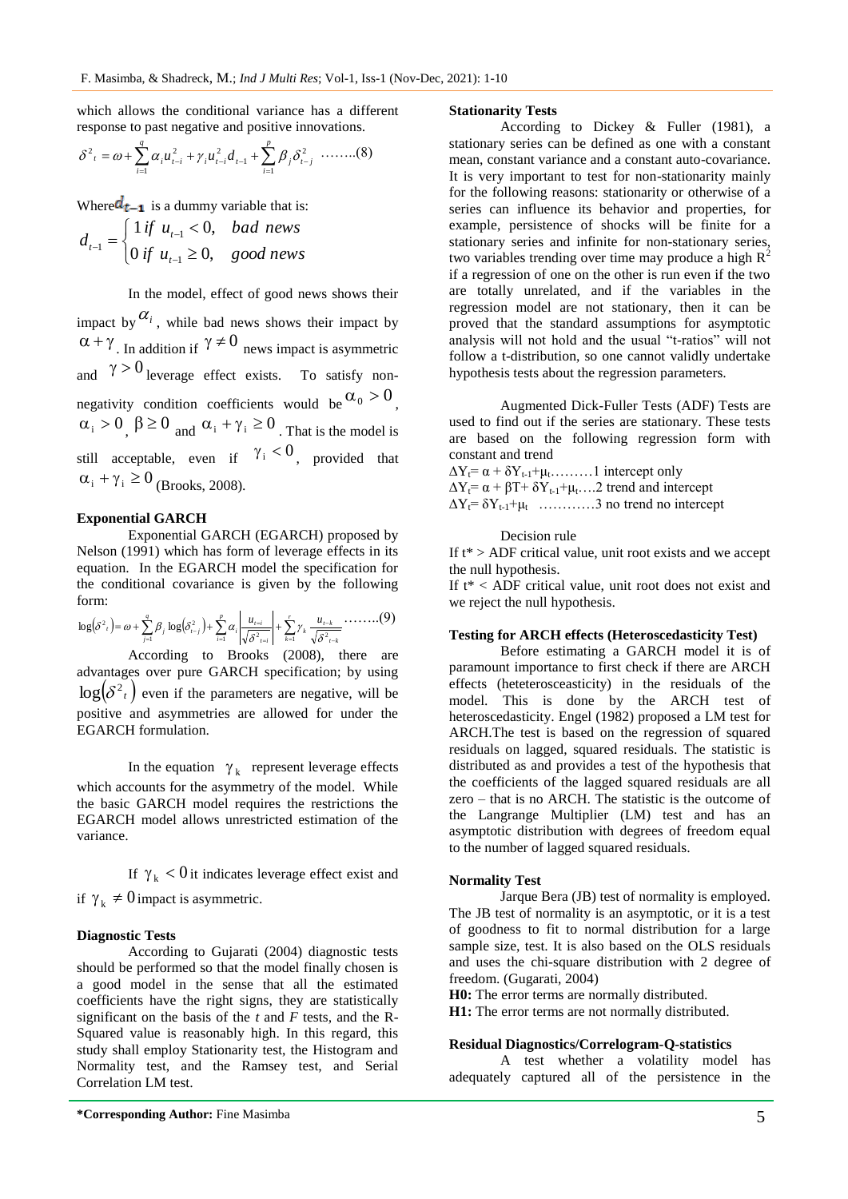which allows the conditional variance has a different response to past negative and positive innovations.

$$
\delta^2_{t} = \omega + \sum_{i=1}^{q} \alpha_i u_{i-i}^2 + \gamma_i u_{i-i}^2 d_{i-1} + \sum_{i=1}^{p} \beta_i \delta_{i-j}^2 \dots \dots \dots (8)
$$

Where  $d_{t-1}$  is a dummy variable that is:

$$
d_{t-1} = \begin{cases} 1 \text{ if } u_{t-1} < 0, \text{ bad news} \\ 0 \text{ if } u_{t-1} \ge 0, \text{ good news} \end{cases}
$$

In the model, effect of good news shows their

impact by  $\alpha_i$ , while bad news shows their impact by  $\alpha + \gamma$ . In addition if  $\gamma \neq 0$  news impact is asymmetric and  $\gamma > 0$  leverage effect exists. To satisfy nonnegativity condition coefficients would be  $\alpha_0 > 0$ ,  $\alpha_i > 0$ ,  $\beta \ge 0$  and  $\alpha_i + \gamma_i \ge 0$ . That is the model is still acceptable, even if  $\gamma_i < 0$ , provided that  $\alpha_i + \gamma_i \ge 0$  (Brooks, 2008).

#### **Exponential GARCH**

Exponential GARCH (EGARCH) proposed by Nelson (1991) which has form of leverage effects in its equation. In the EGARCH model the specification for the conditional covariance is given by the following form:

$$
\log(\delta^2 t) = \omega + \sum_{j=1}^q \beta_j \log(\delta_{t-j}^2) + \sum_{i=1}^p \alpha_i \left| \frac{u_{t-i}}{\sqrt{\delta^2 t_{t-i}}} \right| + \sum_{k=1}^r \gamma_k \frac{u_{t-k}}{\sqrt{\delta^2 t_{t-k}}} \cdots \cdots (9)
$$

According to Brooks (2008), there are advantages over pure GARCH specification; by using  $log(\delta^2 t)$  even if the parameters are negative, will be positive and asymmetries are allowed for under the EGARCH formulation.

In the equation  $\gamma_k$  represent leverage effects which accounts for the asymmetry of the model. While the basic GARCH model requires the restrictions the EGARCH model allows unrestricted estimation of the variance.

If  $\gamma_k < 0$  it indicates leverage effect exist and if  $\gamma_k \neq 0$  impact is asymmetric.

#### **Diagnostic Tests**

According to Gujarati (2004) diagnostic tests should be performed so that the model finally chosen is a good model in the sense that all the estimated coefficients have the right signs, they are statistically significant on the basis of the *t* and *F* tests, and the R-Squared value is reasonably high. In this regard, this study shall employ Stationarity test, the Histogram and Normality test, and the Ramsey test, and Serial Correlation LM test.

#### **\*Corresponding Author:** Fine Masimba 5

#### **Stationarity Tests**

According to Dickey & Fuller (1981), a stationary series can be defined as one with a constant mean, constant variance and a constant auto-covariance. It is very important to test for non-stationarity mainly for the following reasons: stationarity or otherwise of a series can influence its behavior and properties, for example, persistence of shocks will be finite for a stationary series and infinite for non-stationary series, two variables trending over time may produce a high  $R^2$ if a regression of one on the other is run even if the two are totally unrelated, and if the variables in the regression model are not stationary, then it can be proved that the standard assumptions for asymptotic analysis will not hold and the usual "t-ratios" will not follow a t-distribution, so one cannot validly undertake hypothesis tests about the regression parameters.

Augmented Dick-Fuller Tests (ADF) Tests are used to find out if the series are stationary. These tests are based on the following regression form with constant and trend

 $\Delta Y_t = \alpha + \delta Y_{t-1} + \mu_t$ ………1 intercept only  $\Delta Y_t = \alpha + \beta T + \delta Y_{t-1} + \mu_t$ ....2 trend and intercept  $\Delta Y_t = \delta Y_{t-1} + \mu_t$  ............3 no trend no intercept

Decision rule

If  $t^*$  > ADF critical value, unit root exists and we accept the null hypothesis.

If t\* < ADF critical value, unit root does not exist and we reject the null hypothesis.

#### **Testing for ARCH effects (Heteroscedasticity Test)**

Before estimating a GARCH model it is of paramount importance to first check if there are ARCH effects (heteterosceasticity) in the residuals of the model. This is done by the ARCH test of heteroscedasticity. Engel (1982) proposed a LM test for ARCH.The test is based on the regression of squared residuals on lagged, squared residuals. The statistic is distributed as and provides a test of the hypothesis that the coefficients of the lagged squared residuals are all zero – that is no ARCH. The statistic is the outcome of the Langrange Multiplier (LM) test and has an asymptotic distribution with degrees of freedom equal to the number of lagged squared residuals.

### **Normality Test**

Jarque Bera (JB) test of normality is employed. The JB test of normality is an asymptotic, or it is a test of goodness to fit to normal distribution for a large sample size, test. It is also based on the OLS residuals and uses the chi-square distribution with 2 degree of freedom. (Gugarati, 2004)

**H0:** The error terms are normally distributed.

**H1:** The error terms are not normally distributed.

#### **Residual Diagnostics/Correlogram-Q-statistics**

A test whether a volatility model has adequately captured all of the persistence in the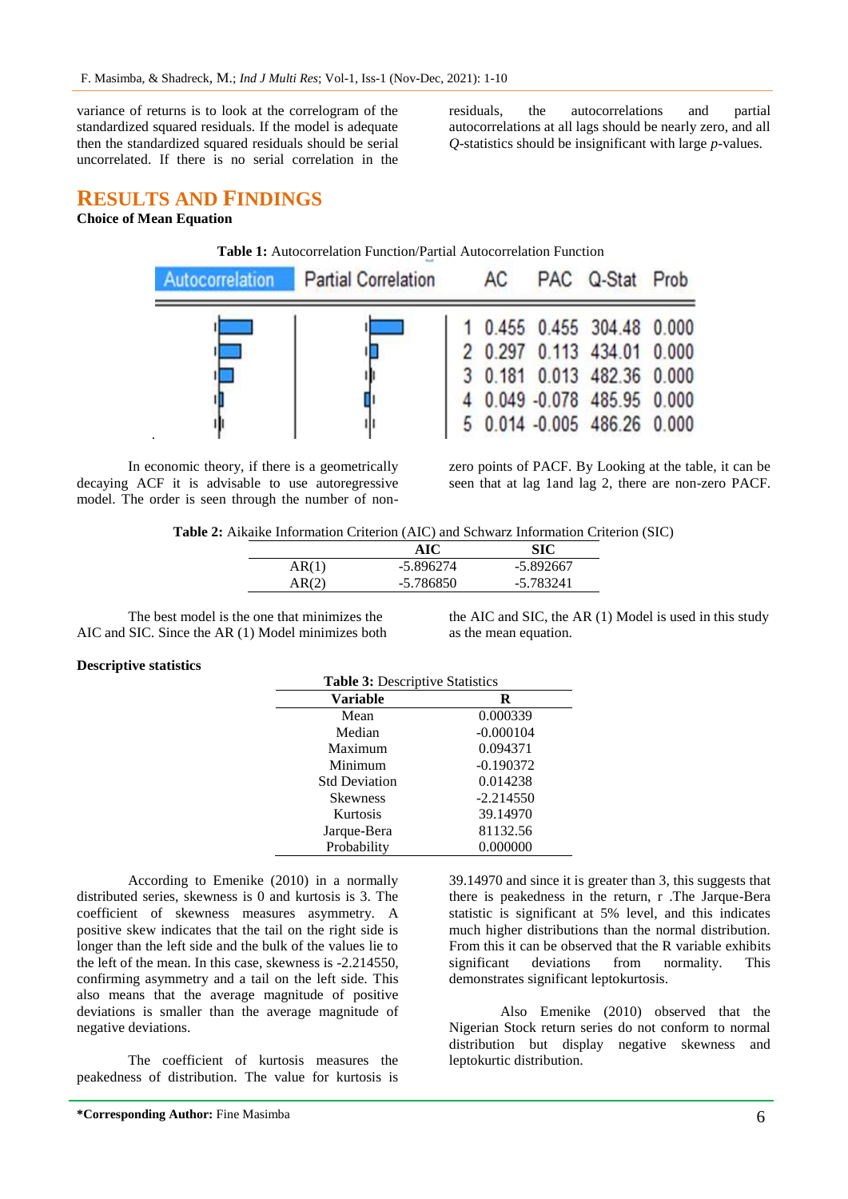variance of returns is to look at the correlogram of the standardized squared residuals. If the model is adequate then the standardized squared residuals should be serial uncorrelated. If there is no serial correlation in the

residuals, the autocorrelations and partial autocorrelations at all lags should be nearly zero, and all *Q*-statistics should be insignificant with large *p*-values.

# **RESULTS AND FINDINGS**

## **Choice of Mean Equation**

| Autocorrelation Partial Correlation | AC | PAC Q-Stat Prob |                             |  |
|-------------------------------------|----|-----------------|-----------------------------|--|
|                                     |    |                 | 1 0.455 0.455 304.48 0.000  |  |
|                                     |    |                 | 2 0.297 0.113 434.01 0.000  |  |
|                                     |    |                 | 3 0.181 0.013 482.36 0.000  |  |
|                                     |    |                 | 4 0.049 -0.078 485.95 0.000 |  |
|                                     |    |                 | 5 0.014 -0.005 486.26 0.000 |  |

In economic theory, if there is a geometrically decaying ACF it is advisable to use autoregressive model. The order is seen through the number of nonzero points of PACF. By Looking at the table, it can be seen that at lag 1and lag 2, there are non-zero PACF.

**Table 2:** Aikaike Information Criterion (AIC) and Schwarz Information Criterion (SIC)

| -5.896274 | -5.892667 |
|-----------|-----------|
| -5.786850 | -5.783241 |
|           |           |

The best model is the one that minimizes the AIC and SIC. Since the AR (1) Model minimizes both

the AIC and SIC, the AR (1) Model is used in this study as the mean equation.

#### **Descriptive statistics**

| <b>Table 3: Descriptive Statistics</b> |             |  |  |  |
|----------------------------------------|-------------|--|--|--|
| Variable                               | R           |  |  |  |
| Mean                                   | 0.000339    |  |  |  |
| Median                                 | $-0.000104$ |  |  |  |
| Maximum                                | 0.094371    |  |  |  |
| Minimum                                | $-0.190372$ |  |  |  |
| <b>Std Deviation</b>                   | 0.014238    |  |  |  |
| <b>Skewness</b>                        | $-2.214550$ |  |  |  |
| Kurtosis                               | 39.14970    |  |  |  |
| Jarque-Bera                            | 81132.56    |  |  |  |
| Probability                            | 0.000000    |  |  |  |

According to Emenike (2010) in a normally distributed series, skewness is 0 and kurtosis is 3. The coefficient of skewness measures asymmetry. A positive skew indicates that the tail on the right side is longer than the left side and the bulk of the values lie to the left of the mean. In this case, skewness is -2.214550, confirming asymmetry and a tail on the left side. This also means that the average magnitude of positive deviations is smaller than the average magnitude of negative deviations.

The coefficient of kurtosis measures the peakedness of distribution. The value for kurtosis is 39.14970 and since it is greater than 3, this suggests that there is peakedness in the return, r .The Jarque-Bera statistic is significant at 5% level, and this indicates much higher distributions than the normal distribution. From this it can be observed that the R variable exhibits significant deviations from normality. This demonstrates significant leptokurtosis.

Also Emenike (2010) observed that the Nigerian Stock return series do not conform to normal distribution but display negative skewness and leptokurtic distribution.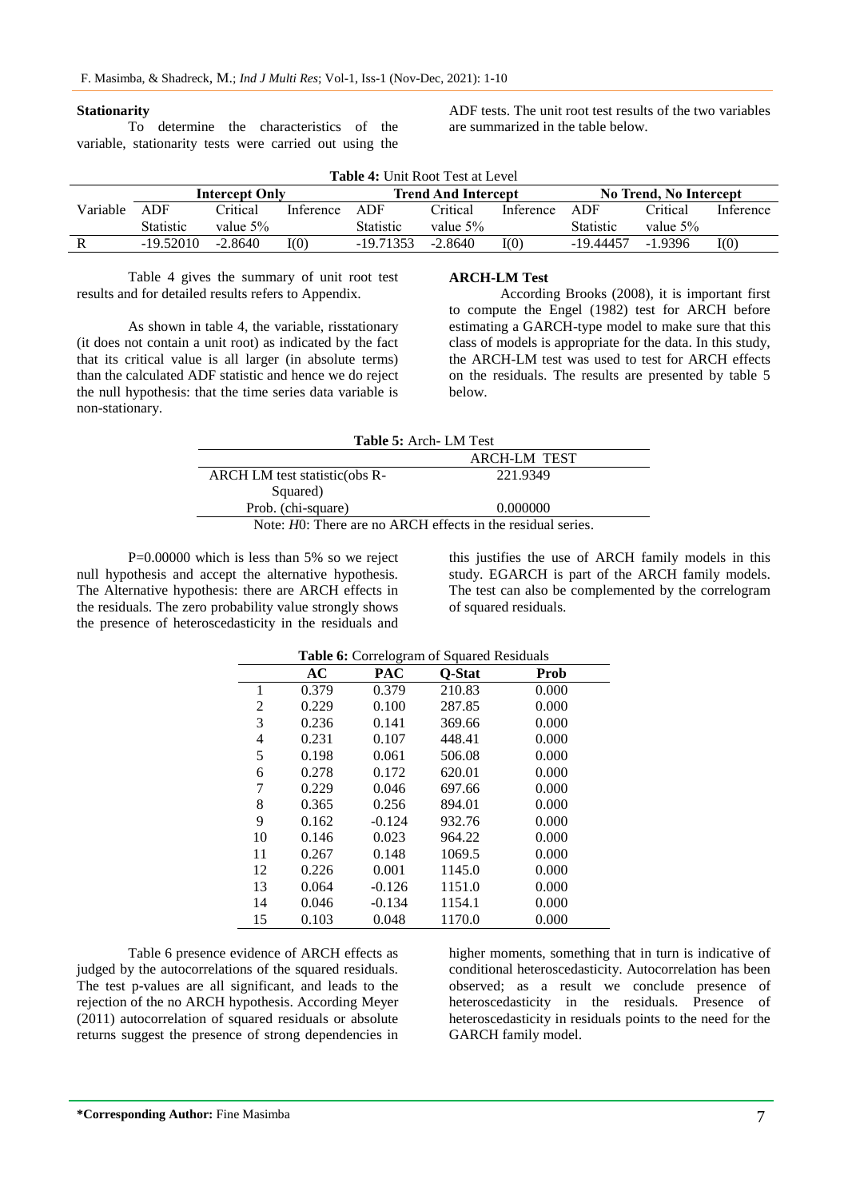#### **Stationarity**

To determine the characteristics of the variable, stationarity tests were carried out using the

ADF tests. The unit root test results of the two variables are summarized in the table below.

| <b>Table 4: Unit Root Test at Level</b> |                       |             |                            |                  |           |                        |                  |           |           |
|-----------------------------------------|-----------------------|-------------|----------------------------|------------------|-----------|------------------------|------------------|-----------|-----------|
|                                         | <b>Intercept Only</b> |             | <b>Trend And Intercept</b> |                  |           | No Trend, No Intercept |                  |           |           |
| Variable                                | ADF                   | Critical    | Inference                  | ADF              | Critical  | Inference              | ADF              | Critical  | Inference |
|                                         | <b>Statistic</b>      | value $5\%$ |                            | <b>Statistic</b> | value 5%  |                        | <b>Statistic</b> | value 5%  |           |
| R                                       | $-19.52010$           | $-2.8640$   | I(0)                       | $-19.71353$      | $-2.8640$ | I(0)                   | -19.44457        | $-1.9396$ | I(0)      |

Table 4 gives the summary of unit root test results and for detailed results refers to Appendix.

As shown in table 4, the variable, risstationary (it does not contain a unit root) as indicated by the fact that its critical value is all larger (in absolute terms) than the calculated ADF statistic and hence we do reject the null hypothesis: that the time series data variable is non-stationary.

### **ARCH-LM Test**

According Brooks (2008), it is important first to compute the Engel (1982) test for ARCH before estimating a GARCH-type model to make sure that this class of models is appropriate for the data. In this study, the ARCH-LM test was used to test for ARCH effects on the residuals. The results are presented by table 5 below.

| <b>Table 5:</b> Arch - LM Test                                 |          |  |  |
|----------------------------------------------------------------|----------|--|--|
| <b>ARCH-LM TEST</b>                                            |          |  |  |
| ARCH LM test statistic(obs R-                                  | 221.9349 |  |  |
| Squared)                                                       |          |  |  |
| Prob. (chi-square)                                             | 0.000000 |  |  |
| Note: $H0$ : There are no ARCH effects in the residual series. |          |  |  |

P=0.00000 which is less than 5% so we reject null hypothesis and accept the alternative hypothesis. The Alternative hypothesis: there are ARCH effects in the residuals. The zero probability value strongly shows the presence of heteroscedasticity in the residuals and

this justifies the use of ARCH family models in this study. EGARCH is part of the ARCH family models. The test can also be complemented by the correlogram of squared residuals.

| Table 6: Correlogram of Squared Residuals |       |            |        |             |  |
|-------------------------------------------|-------|------------|--------|-------------|--|
|                                           | AC    | <b>PAC</b> | Q-Stat | <b>Prob</b> |  |
| 1                                         | 0.379 | 0.379      | 210.83 | 0.000       |  |
| 2                                         | 0.229 | 0.100      | 287.85 | 0.000       |  |
| 3                                         | 0.236 | 0.141      | 369.66 | 0.000       |  |
| 4                                         | 0.231 | 0.107      | 448.41 | 0.000       |  |
| 5                                         | 0.198 | 0.061      | 506.08 | 0.000       |  |
| 6                                         | 0.278 | 0.172      | 620.01 | 0.000       |  |
| 7                                         | 0.229 | 0.046      | 697.66 | 0.000       |  |
| 8                                         | 0.365 | 0.256      | 894.01 | 0.000       |  |
| 9                                         | 0.162 | $-0.124$   | 932.76 | 0.000       |  |
| 10                                        | 0.146 | 0.023      | 964.22 | 0.000       |  |
| 11                                        | 0.267 | 0.148      | 1069.5 | 0.000       |  |
| 12                                        | 0.226 | 0.001      | 1145.0 | 0.000       |  |
| 13                                        | 0.064 | $-0.126$   | 1151.0 | 0.000       |  |
| 14                                        | 0.046 | $-0.134$   | 1154.1 | 0.000       |  |
| 15                                        | 0.103 | 0.048      | 1170.0 | 0.000       |  |

Table 6 presence evidence of ARCH effects as judged by the autocorrelations of the squared residuals. The test p-values are all significant, and leads to the rejection of the no ARCH hypothesis. According Meyer (2011) autocorrelation of squared residuals or absolute returns suggest the presence of strong dependencies in

higher moments, something that in turn is indicative of conditional heteroscedasticity. Autocorrelation has been observed; as a result we conclude presence of heteroscedasticity in the residuals. Presence of heteroscedasticity in residuals points to the need for the GARCH family model.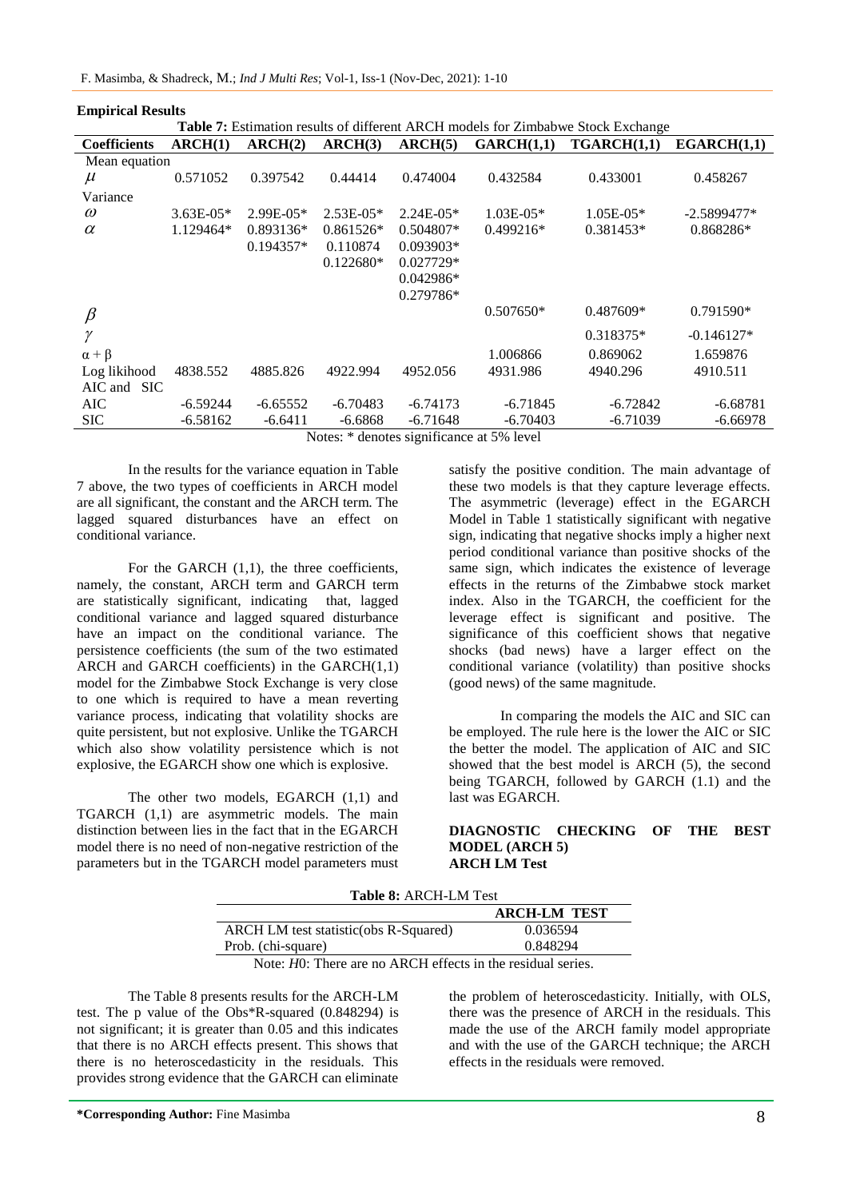| <b>Table 7:</b> Estimation results of different ARCH models for Zimbabwe Stock Exchange |             |              |             |             |             |             |               |
|-----------------------------------------------------------------------------------------|-------------|--------------|-------------|-------------|-------------|-------------|---------------|
| <b>Coefficients</b>                                                                     | ARCH(1)     | ARCH(2)      | ARCH(3)     | ARCH(5)     | GARCH(1,1)  | TGARCH(1.1) | EGARCH(1,1)   |
| Mean equation                                                                           |             |              |             |             |             |             |               |
| $\mu$                                                                                   | 0.571052    | 0.397542     | 0.44414     | 0.474004    | 0.432584    | 0.433001    | 0.458267      |
| Variance                                                                                |             |              |             |             |             |             |               |
| $\omega$                                                                                | $3.63E-05*$ | $2.99E-0.5*$ | $2.53E-05*$ | $2.24E-05*$ | $1.03E-05*$ | $1.05E-05*$ | $-2.5899477*$ |
| $\alpha$                                                                                | 1.129464*   | $0.893136*$  | $0.861526*$ | $0.504807*$ | $0.499216*$ | $0.381453*$ | 0.868286*     |
|                                                                                         |             | $0.194357*$  | 0.110874    | $0.093903*$ |             |             |               |
|                                                                                         |             |              | $0.122680*$ | $0.027729*$ |             |             |               |
|                                                                                         |             |              |             | $0.042986*$ |             |             |               |
|                                                                                         |             |              |             | $0.279786*$ |             |             |               |
| $\beta$                                                                                 |             |              |             |             | $0.507650*$ | 0.487609*   | $0.791590*$   |
| $\gamma$                                                                                |             |              |             |             |             | $0.318375*$ | $-0.146127*$  |
| $\alpha + \beta$                                                                        |             |              |             |             | 1.006866    | 0.869062    | 1.659876      |
| Log likihood                                                                            | 4838.552    | 4885.826     | 4922.994    | 4952.056    | 4931.986    | 4940.296    | 4910.511      |
| AIC and SIC                                                                             |             |              |             |             |             |             |               |
| AIC.                                                                                    | $-6.59244$  | $-6.65552$   | $-6.70483$  | $-6.74173$  | $-6.71845$  | $-6.72842$  | $-6.68781$    |
| <b>SIC</b>                                                                              | $-6.58162$  | $-6.6411$    | -6.6868     | $-6.71648$  | $-6.70403$  | $-6.71039$  | $-6.66978$    |
| $N_{\text{0}}$ taa $\ast$ danataa aigmitigaanaa at 500 laval                            |             |              |             |             |             |             |               |

**Empirical Results**



Notes: \* denotes significance at 5% level

In the results for the variance equation in Table 7 above, the two types of coefficients in ARCH model are all significant, the constant and the ARCH term. The lagged squared disturbances have an effect on conditional variance.

For the GARCH  $(1,1)$ , the three coefficients, namely, the constant, ARCH term and GARCH term are statistically significant, indicating that, lagged conditional variance and lagged squared disturbance have an impact on the conditional variance. The persistence coefficients (the sum of the two estimated ARCH and GARCH coefficients) in the GARCH(1,1) model for the Zimbabwe Stock Exchange is very close to one which is required to have a mean reverting variance process, indicating that volatility shocks are quite persistent, but not explosive. Unlike the TGARCH which also show volatility persistence which is not explosive, the EGARCH show one which is explosive.

The other two models, EGARCH (1,1) and TGARCH (1,1) are asymmetric models. The main distinction between lies in the fact that in the EGARCH model there is no need of non-negative restriction of the parameters but in the TGARCH model parameters must

satisfy the positive condition. The main advantage of these two models is that they capture leverage effects. The asymmetric (leverage) effect in the EGARCH Model in Table 1 statistically significant with negative sign, indicating that negative shocks imply a higher next period conditional variance than positive shocks of the same sign, which indicates the existence of leverage effects in the returns of the Zimbabwe stock market index. Also in the TGARCH, the coefficient for the leverage effect is significant and positive. The significance of this coefficient shows that negative shocks (bad news) have a larger effect on the conditional variance (volatility) than positive shocks (good news) of the same magnitude.

In comparing the models the AIC and SIC can be employed. The rule here is the lower the AIC or SIC the better the model. The application of AIC and SIC showed that the best model is ARCH (5), the second being TGARCH, followed by GARCH (1.1) and the last was EGARCH.

### **DIAGNOSTIC CHECKING OF THE BEST MODEL (ARCH 5) ARCH LM Test**

| <b>Table 8: ARCH-LM Test</b>                                                                                                                                                                                                                                                                     |                     |  |  |  |
|--------------------------------------------------------------------------------------------------------------------------------------------------------------------------------------------------------------------------------------------------------------------------------------------------|---------------------|--|--|--|
|                                                                                                                                                                                                                                                                                                  | <b>ARCH-LM TEST</b> |  |  |  |
| ARCH LM test statistic(obs R-Squared)                                                                                                                                                                                                                                                            | 0.036594            |  |  |  |
| Prob. (chi-square)                                                                                                                                                                                                                                                                               | 0.848294            |  |  |  |
| $\mathbf{M}$ and $\mathbf{M}$ and $\mathbf{M}$ and $\mathbf{M}$ and $\mathbf{M}$ and $\mathbf{M}$ and $\mathbf{M}$ and $\mathbf{M}$ and $\mathbf{M}$ and $\mathbf{M}$ and $\mathbf{M}$ and $\mathbf{M}$ and $\mathbf{M}$ and $\mathbf{M}$ and $\mathbf{M}$ and $\mathbf{M}$ and $\mathbf{M}$ and |                     |  |  |  |

Note: *H*O: There are no ARCH effects in the residual series.

The Table 8 presents results for the ARCH-LM test. The p value of the Obs\*R-squared (0.848294) is not significant; it is greater than 0.05 and this indicates that there is no ARCH effects present. This shows that there is no heteroscedasticity in the residuals. This provides strong evidence that the GARCH can eliminate

the problem of heteroscedasticity. Initially, with OLS, there was the presence of ARCH in the residuals. This made the use of the ARCH family model appropriate and with the use of the GARCH technique; the ARCH effects in the residuals were removed.

**\*Corresponding Author:** Fine Masimba 8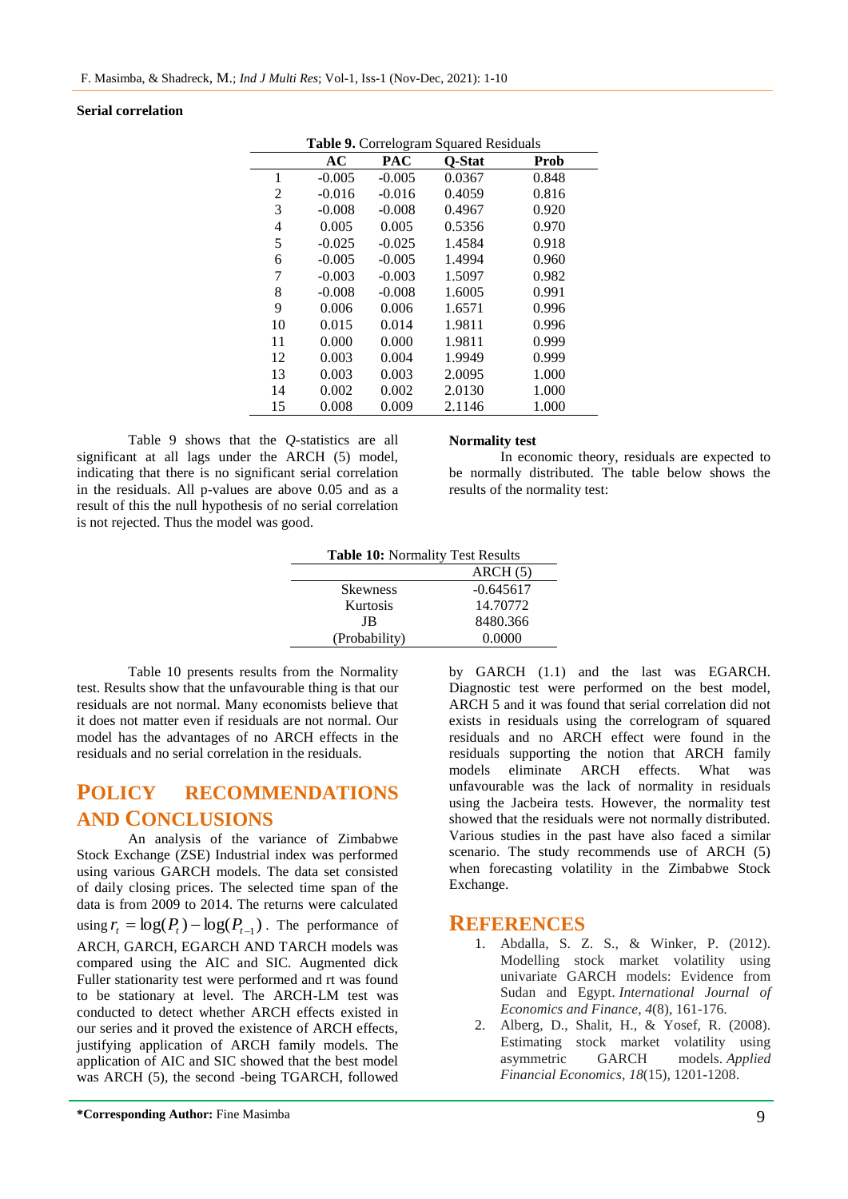## **Serial correlation**

|    | Table 9. Correlogram Squared Residuals |            |               |       |  |  |
|----|----------------------------------------|------------|---------------|-------|--|--|
|    | AC                                     | <b>PAC</b> | <b>O-Stat</b> | Prob  |  |  |
| 1  | $-0.005$                               | $-0.005$   | 0.0367        | 0.848 |  |  |
| 2  | $-0.016$                               | $-0.016$   | 0.4059        | 0.816 |  |  |
| 3  | $-0.008$                               | $-0.008$   | 0.4967        | 0.920 |  |  |
| 4  | 0.005                                  | 0.005      | 0.5356        | 0.970 |  |  |
| 5  | $-0.025$                               | $-0.025$   | 1.4584        | 0.918 |  |  |
| 6  | $-0.005$                               | $-0.005$   | 1.4994        | 0.960 |  |  |
| 7  | $-0.003$                               | $-0.003$   | 1.5097        | 0.982 |  |  |
| 8  | $-0.008$                               | $-0.008$   | 1.6005        | 0.991 |  |  |
| 9  | 0.006                                  | 0.006      | 1.6571        | 0.996 |  |  |
| 10 | 0.015                                  | 0.014      | 1.9811        | 0.996 |  |  |
| 11 | 0.000                                  | 0.000      | 1.9811        | 0.999 |  |  |
| 12 | 0.003                                  | 0.004      | 1.9949        | 0.999 |  |  |
| 13 | 0.003                                  | 0.003      | 2.0095        | 1.000 |  |  |
| 14 | 0.002                                  | 0.002      | 2.0130        | 1.000 |  |  |
| 15 | 0.008                                  | 0.009      | 2.1146        | 1.000 |  |  |

Table 9 shows that the *Q-*statistics are all significant at all lags under the ARCH (5) model, indicating that there is no significant serial correlation in the residuals. All p-values are above 0.05 and as a result of this the null hypothesis of no serial correlation is not rejected. Thus the model was good.

## **Normality test**

In economic theory, residuals are expected to be normally distributed. The table below shows the results of the normality test:

| <b>Table 10: Normality Test Results</b> |             |  |
|-----------------------------------------|-------------|--|
|                                         | ARCH(5)     |  |
| <b>Skewness</b>                         | $-0.645617$ |  |
| Kurtosis                                | 14.70772    |  |
| JB                                      | 8480.366    |  |
| (Probability)                           | 0.0000      |  |

Table 10 presents results from the Normality test. Results show that the unfavourable thing is that our residuals are not normal. Many economists believe that it does not matter even if residuals are not normal. Our model has the advantages of no ARCH effects in the residuals and no serial correlation in the residuals.

# **POLICY RECOMMENDATIONS AND CONCLUSIONS**

An analysis of the variance of Zimbabwe Stock Exchange (ZSE) Industrial index was performed using various GARCH models. The data set consisted of daily closing prices. The selected time span of the data is from 2009 to 2014. The returns were calculated using  $r_t = \log(P_t) - \log(P_{t-1})$ . The performance of ARCH, GARCH, EGARCH AND TARCH models was compared using the AIC and SIC. Augmented dick Fuller stationarity test were performed and rt was found to be stationary at level. The ARCH-LM test was conducted to detect whether ARCH effects existed in our series and it proved the existence of ARCH effects, justifying application of ARCH family models. The application of AIC and SIC showed that the best model was ARCH (5), the second -being TGARCH, followed

by GARCH (1.1) and the last was EGARCH. Diagnostic test were performed on the best model, ARCH 5 and it was found that serial correlation did not exists in residuals using the correlogram of squared residuals and no ARCH effect were found in the residuals supporting the notion that ARCH family models eliminate ARCH effects. What was unfavourable was the lack of normality in residuals using the Jacbeira tests. However, the normality test showed that the residuals were not normally distributed. Various studies in the past have also faced a similar scenario. The study recommends use of ARCH (5) when forecasting volatility in the Zimbabwe Stock Exchange.

## **REFERENCES**

- 1. Abdalla, S. Z. S., & Winker, P. (2012). Modelling stock market volatility using univariate GARCH models: Evidence from Sudan and Egypt. *International Journal of Economics and Finance*, *4*(8), 161-176.
- 2. Alberg, D., Shalit, H., & Yosef, R. (2008). Estimating stock market volatility using asymmetric GARCH models. *Applied Financial Economics*, *18*(15), 1201-1208.